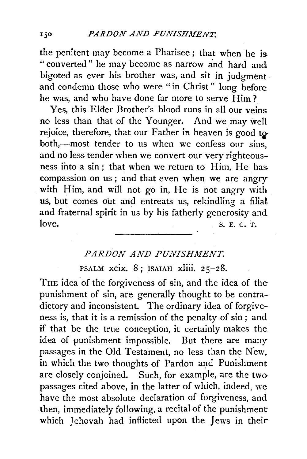the penitent may become a Pharisee ; that when he is "converted" he may become as narrow and hard and bigoted as ever his brother was, and sit in judgment . and condemn those who were "in Christ" long before. he was, and who have done far more to serve Him?

Yes, this Elder Brother's blood runs in all our veins no less than that of the Younger. And we may well rejoice, therefore, that our Father in heaven is good to both,—most tender to us when we confess our sins, and no less tender when we convert our very righteousness into a sin; that when we return to Him, He has. compassion on us ; and that even when we are angry with Him, and will not go in, He is not angry with us, but comes out and entreats us, rekindling a filial and fraternal spirit in us by his fatherly generosity and  $\text{love.}$  S. E. C. T.

## *PARDON AND PUNISH.MENT.*

PSALM xcix. 8; ISAIAH xliii. 25-28.

THE idea of the forgiveness of sin, and the idea of the punishment of sin, are generally thought to be contradictory and inconsistent. The ordinary idea of forgiveness is, that it is a remission of the penalty of sin ; and if that be the true conception, it certainly makes the idea of punishment impossible. But there are many passages in the Old Testament, no less than the New, in which the two thoughts of Pardon and Punishment are closely conjoined. Such, for example, are the two passages cited above, in the latter of which, indeed, we have the most absolute declaration of forgiveness, and then, immediately following, a recital of the punishment which Jehovah had inflicted upon the Jews in their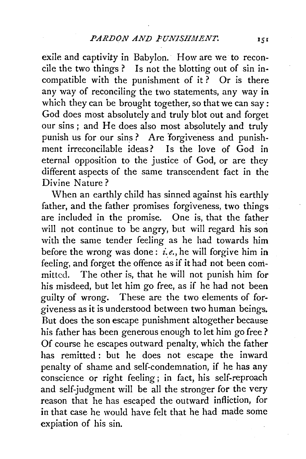exile and captivity in Babylon. How are we to reconcile the two things ? Is not the blotting out of sin incompatible with the punishment of it? Or is there any way of reconciling the two statements, any way in which they can be brought together, so that we can say: God does most absolutely and truly blot out and forget our sins; and He does also most absolutely and truly punish us for our sins? Are forgiveness and punishment irreconcilable ideas? Is the love of God in eternal opposition to the justice of God, or are they different aspects of the same transcendent fact in the Divine Nature?

When an earthly child has sinned against his earthly father, and the father promises forgiveness, two things are included in the promise. One is, that the father will not continue to be angry, but will regard his son with the same tender feeling as he had towards him before the wrong was done: *£.e.,* he will forgive him in feeling, and forget the offence as if it had not been committed. The other is, that he will not punish him for his misdeed, but let him go free, as if he had not been guilty of wrong. These are the two elements of forgiveness as it is understood between two human beings. But does the son escape punishment altogether because his father has been generous enough to let him go free ? Of course he escapes outward penalty, which the father has remitted : but he does not escape the inward penalty of shame and self-condemnation, if he has any conscience or right feeling ; in fact, his self-reproach and self-judgment will be all the stronger for the very reason that he has escaped the outward infliction, for in that case he would have felt that he had made some expiation of his sin.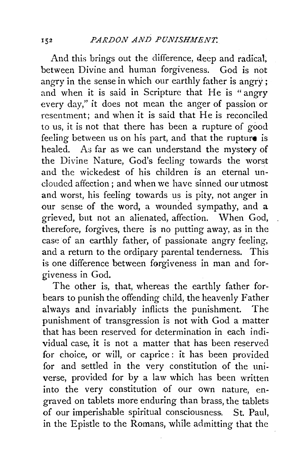And this brings out the difference, deep and radical, between Divine and human forgiveness. God is not angry in the sense in which our earthly father is angry ; and when it is said in Scripture that He is " angry every day," it does not mean the anger of passion or resentment; and when it is said that He is reconciled to us, it is not that there has been a rupture of good feeling between us on his part, and that the rupture is healed. As far as we can understand the mystery of the Divine Nature, God's feeling towards the worst and the wickedest of his children is an eternal unclouded affection; and when we have sinned our utmost and worst, his feeling towards us is pity, not anger in our sense of the word, a wounded sympathy, and a grieved, but not an alienated, affection. When God, therefore, forgives, there is no putting away, as in the case of an earthly father, of passionate angry feeling, and a return to the ordinary parental tenderness. This is one difference between forgiveness in man and forgiveness in God.

The other is, that, whereas the earthly father forbears to punish the offending child, the heavenly Father always and invariably inflicts the punishment. The punishment of transgression is not with God a matter that has been reserved for determination in each individual case, it is not a matter that has been reserved for choice, or will, or caprice : it has been provided for and settled in the very constitution of the universe, provided for by a law which has been written into the very constitution of our own nature, engraved on tablets more enduring than brass, the tablets of our imperishable spiritual consciousness. St. Paul, in the Epistle to the Romans, while admitting that the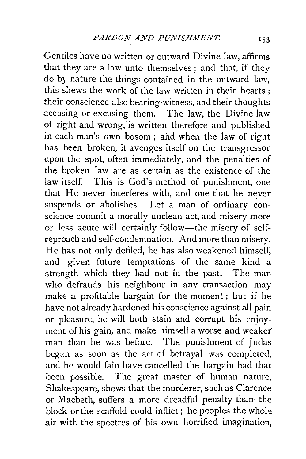Gentiles have no written or outward Divine law, affirms that they are a law unto themselves; and that, if they do by nature the things contained in the outward law, this shews the work of the law written in their hearts; .their conscience also bearing witness, and their thoughts accusing or excusing them. The law, the Divine law of right and wrong, is written therefore and published in each man's own bosom; and when the law of right has been broken, it avenges itself on the transgressor upon the spot, often immediately, and the penalties of the broken law are as certain as the existence of the law itself. This is God's method of punishment, one that He never interferes with, and one that he never suspends or abolishes. Let a man of ordinary conscience commit a morally unclean act, and misery more or less acute will certainly follow-the misery of selfreproach and self-condemnation. And more than misery. He has not only defiled, he has also weakened himself, and given future temptations of the same kind a strength which they had not in the past. The man who defrauds his neighbour in any transaction may make a profitable bargain for the moment ; but if he have not already hardened his conscience against all pain or pleasure, he will both stain and corrupt his enjoyment of his gain, and make himself a worse and weaker man than he was before. The punishment of Judas began as soon as the act of betrayal was completed, and he would fain have cancelled the bargain had that been possible. The great master of human nature, Shakespeare, shews that the murderer, such as Clarence or Macbeth, suffers a more dreadful penalty than the block or the scaffold could inflict; he peoples the whole air with the spectres of his own horrified imagination;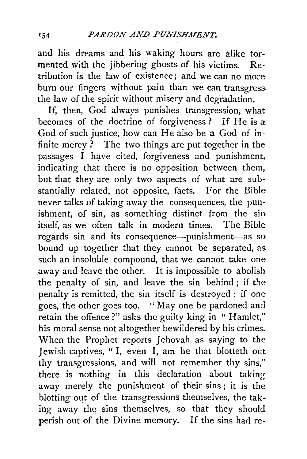and his dreams and his waking hours are alike tormented with the jibbering ghosts of his victims. Re· tribution is the law of existence; and we can no more burn our fingers without pain than we can transgress the law of the spirit without misery and degradation.

lf, then, God always punishes transgression, what becomes of the doctrine of forgiveness? If He is a God of such justice, how can He also be a God of infinite mercy  $\tilde{?}$  The two things are put together in the  $passages$  I have cited, forgiveness and punishment, indicating that there is no opposition between them, but that they are only two aspects of what are substantially related, not opposite, facts. For the Bible never talks of taking away the consequences, the punishment, of sin, as something distinct from the sin itself, as we often talk in modern times. The Bible regards sin and its consequence—punishment—as so bound up together that they cannot be separated, as. such an insoluble compound, that we cannot take one away and leave the other. It is impossible to abolish the penalty of sin, and leave the sin behind ; if the penalty is remitted, the sin itself is destroyed : if one goes, the other goes too. "May one be pardoned and retain the offence?" asks the guilty king in "Hamlet," his moral sense not altogether bewildered by his crimes. When the Prophet reports Jehovah as saying to the Jewish captives, "I, even I, am he that blotteth out thy transgressions, and will not remember thy sins," there is nothing in this declaration about taking away merely the punishment of their sins ; it is the blotting out of the transgressions themselves, the taking away the sins themselves, so that they should perish out of the Divine memory. If the sins had re-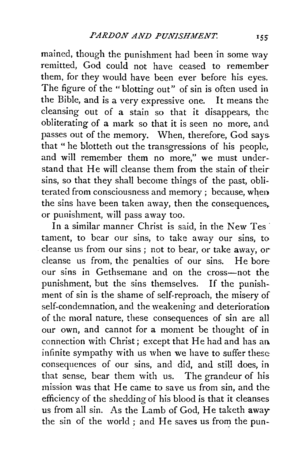mained, though the punishment had been in some way remitted, God could not have ceased to remember them, for they would have been ever before his eyes. The figure of the "blotting out" of sin is often used in the Bible, and is a very expressive one. It means the cleansing out of a stain so that it disappears, the obliterating of a mark so that it is seen no more, and passes out of the memory. When, therefore, God says. that " he blotteth out the transgressions of his people, and will remember them no more," we must understand that He will cleanse them from the stain of their sins, so that they shall become things of the past, obliterated from consciousness and memory ; because, when the sins have been taken away, then the consequences, or punishment, will pass away too.

In a similar manner Christ is said, in the New Tes tament, to bear our sins, to take away our sins, to cleanse us from our sins ; not to bear, or take away, or cleanse us from, the penalties of our sins. He bore our sins in Gethsemane and on the cross-not the punishment, but the sins themselves. If the punishment of sin is the shame of self-reproach, the misery of self-condemnation, and the weakening and deterioration of the moral nature, these consequences of sin are all our own, and cannot for a moment be thought of in connection with Christ; except that He had and has an. infinite sympathy with us when we have to suffer these. consequences of our sins, and did, and still does, in that sense, bear them with us. The grandeur of his mission was that He came to save us from sin, and the efficiency of the shedding of his blood is that it cleanses us from all sin. As the Lamb of God, He taketh away the sin of the world ; and He saves us from the pun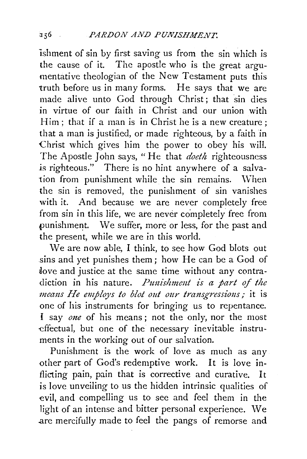ishment of sin by first saving us from the sin which is the cause of it. The apostle who is the great argumentative theologian of the New Testament puts this truth before us in many forms. He says that we are made alive unto God through Christ; that sin dies in virtue of our faith in Christ and our union with Him; that if a man is in Christ he is a new creature: that a man is justified, or made righteous, by a faith in Christ which gives him the power to obey his wilL The Apostle John says, "He that *doeth* righteousness is righteous." There is no hint anywhere of a salvation from punishment while the sin remains. When the sin is removed, the punishment of sin vanishes with it. And because we are never completely free from sin in this life, we are never completely free from punishment. We suffer, more or less, for the past and the present, while we are in this world.

We are now able, I think, to see how God blots out sins and yet punishes them; how He can be a God of dove and justice at the same time without any contradiction in his nature. *Punishment is a part of the means He employs to blot out our transgressions;* it is one of his instruments for bringing us to repentance. I say *one* of his means; not the only, nor the most -effectual, but one of the necessary inevitable instruments in the working out of our salvation.

Punishment is the work of love as much as any other part of God's redemptive work. It is love inflicting pain, pain that is corrective and curative. It is love unveiling to us the hidden intrinsic qualities of evil, and compelling us to see and feel them in the light of an intense and bitter personal experience. We .are mercifully made to feel the pangs of remorse and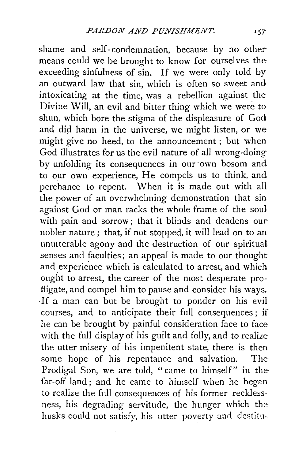shame and self- condemnation, because by no other means could we be brought to know for ourselves the exceeding sinfulness of sin. If we were only told by an outward law that sin, which is often so sweet and intoxicating at the time, was a rebellion against the Divine Will, an evil and bitter thing which we were to shun, which bore the stigma of the displeasure of God and did harm in the universe, we might listen, or we might give no heed, to the announcement ; but when God illustrates for us the evil nature of all wrong-doing by unfolding its consequences in our own bosom and to our own experience, He compels us to think, and perchance to repent. When it is made out with all the power of an overwhelming demonstration that sin against God or man racks the whole frame of the soul with pain and sorrow; that it blinds and deadens our nobler nature ; that, if not stopped, it will lead on to an unutterable agony and the destruction of our spiritual senses and faculties; an appeal is made to our thought and experience which is calculated to arrest, and which ought to arrest, the career of the most desperate profligate, and compel him to pause and consider his ways. . If a man can but be brought to ponder on his evil courses, and to anticipate their full consequences ; if he can be brought by painful consideration face to face with the full display of his guilt and folly, and to realize the utter misery of his impenitent state, there is then some hope of his repentance and salvation. The Prodigal Son, we are told, "came to himself" in the far-off land; and he came to himself when he began to realize the full consequences of his former recklessness, his degrading servitude, the hunger which the husks could not satisfy, his utter poverty and destitn·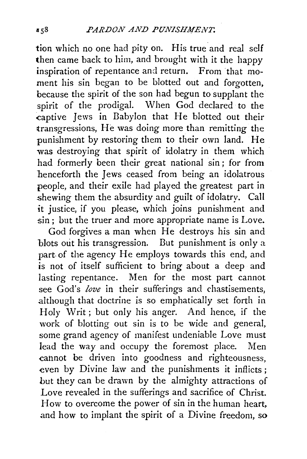tion which no one had pity on. His true and real self then came back to him, and brought with it the happy inspiration of repentance and return. From that moment his sin began to be blotted out and forgotten, because the spirit of the son had begun to supplant the spirit of the prodigal. When God declared to the captive Jews in Babylon that He blotted out their transgressions, He was doing more than remitting the punishment by restoring them to their own land. He was destroying that spirit of idolatry in them which had formerly been their great national sin; for from henceforth the Jews ceased from being an idolatrous people, and their exile had played the greatest part in shewing them the absurdity and guilt of idolatry. Call it justice, if you please, which joins punishment and sin ; but the truer and more appropriate name is Love.

God forgives a man when He destroys his sin and blots out his transgression. But punishment is only a part-of the agency He employs towards this end, and is not of itself sufficient to bring about a deep and lasting repentance. Men for the most part cannot see God's *love* in their sufferings and chastisements, .although that doctrine is so emphatically set forth in Holy Writ; but only his anger. And hence, if the work of blotting out sin is to be wide and general, some grand agency of manifest undeniable Love must lead the way and occupy the foremost place. Men -cannot be driven into goodness and righteousness, even by Divine law and the punishments it inflicts ; but they can be drawn by the almighty attractions of Love revealed in the sufferings and sacrifice of Christ. How to overcome the power of sin in the human heart, .and how to implant the spirit of a Divine freedom, so